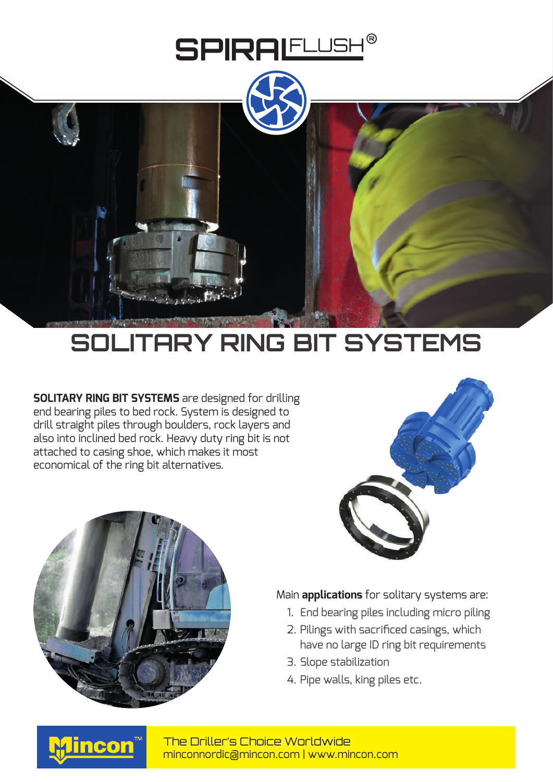



## **SOLITARY RING BIT SYSTEMS**

**SOLITARY RING BIT SYSTEMS** are designed for drilling end bearing piles to bed rock. System is designed to drill straight piles through boulders, rock layers and also into inclined bed rock. Heavy duty ring bit is not attached to casing shoe, which makes it most economical of the ring bit alternatives.





## Main **applications** for solitary systems are:

- 1. End bearing piles including micro piling
- 2. Pilings with sacrificed casings, which have no large ID ring bit requirements
- 3. Slope stabilization
- 4. Pipe walls, king piles etc.